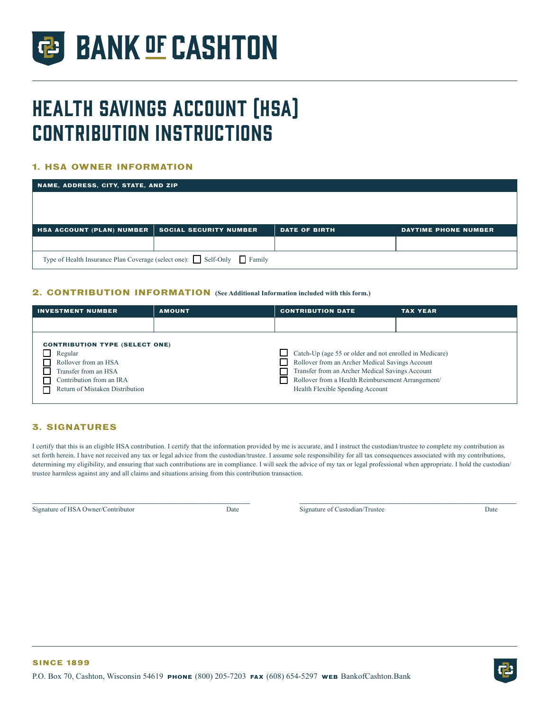

# Health Savings Account (HSA) Contribution Instructions

## **1. HSA OWNER INFORMATION**

| NAME, ADDRESS, CITY, STATE, AND ZIP                                   |                               |                      |                      |  |  |  |
|-----------------------------------------------------------------------|-------------------------------|----------------------|----------------------|--|--|--|
|                                                                       |                               |                      |                      |  |  |  |
|                                                                       |                               |                      |                      |  |  |  |
|                                                                       |                               |                      |                      |  |  |  |
| <b>HSA ACCOUNT (PLAN) NUMBER</b>                                      | <b>SOCIAL SECURITY NUMBER</b> | <b>DATE OF BIRTH</b> | DAYTIME PHONE NUMBER |  |  |  |
|                                                                       |                               |                      |                      |  |  |  |
| Type of Health Insurance Plan Coverage (select one): Self-Only Family |                               |                      |                      |  |  |  |

## **2. CONTRIBUTION INFORMATION (See Additional Information included with this form.)**

| <b>INVESTMENT NUMBER</b>                                                                                                                                        | <b>AMOUNT</b> | <b>CONTRIBUTION DATE</b>                                                                                                                                                                                                                               | <b>TAX YEAR</b> |
|-----------------------------------------------------------------------------------------------------------------------------------------------------------------|---------------|--------------------------------------------------------------------------------------------------------------------------------------------------------------------------------------------------------------------------------------------------------|-----------------|
|                                                                                                                                                                 |               |                                                                                                                                                                                                                                                        |                 |
| <b>CONTRIBUTION TYPE (SELECT ONE)</b><br>Regular<br>Rollover from an HSA<br>Transfer from an HSA<br>Contribution from an IRA<br>Return of Mistaken Distribution |               | Catch-Up (age 55 or older and not enrolled in Medicare)<br>Rollover from an Archer Medical Savings Account<br>Transfer from an Archer Medical Savings Account<br>Rollover from a Health Reimbursement Arrangement/<br>Health Flexible Spending Account |                 |

# **3. SIGNATURES**

I certify that this is an eligible HSA contribution. I certify that the information provided by me is accurate, and I instruct the custodian/trustee to complete my contribution as set forth herein. I have not received any tax or legal advice from the custodian/trustee. I assume sole responsibility for all tax consequences associated with my contributions, determining my eligibility, and ensuring that such contributions are in compliance. I will seek the advice of my tax or legal professional when appropriate. I hold the custodian/ trustee harmless against any and all claims and situations arising from this contribution transaction.

**\_\_\_\_\_\_\_\_\_\_\_\_\_\_\_\_\_\_\_\_\_\_\_\_\_\_\_\_\_\_\_\_\_\_\_\_\_\_\_\_\_\_\_\_\_\_\_\_\_\_\_\_\_\_\_\_\_\_\_\_\_\_\_\_ \_\_\_\_\_\_\_\_\_\_\_\_\_\_\_\_\_\_\_\_\_\_\_\_\_\_\_\_\_\_\_\_\_\_\_\_\_\_\_\_\_\_\_\_\_\_\_\_\_\_\_\_\_\_\_\_\_\_\_\_\_\_\_\_**

Signature of HSA Owner/Contributor Date Date Signature of Custodian/Trustee Date Date